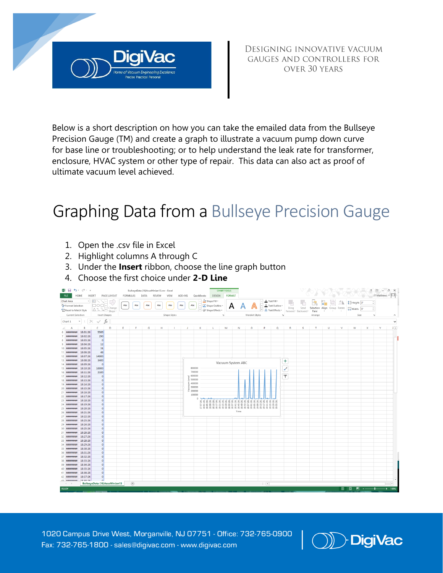

DESIGNING INNOVATIVE VACUUM GAUGES AND CONTROLLERS FOR OVER 30 YEARS

Below is a short description on how you can take the emailed data from the Bullseye Precision Gauge (TM) and create a graph to illustrate a vacuum pump down curve for [base line](http://blog.digivac.com/baseline-your-vacuum-pump-to-make-troubleshooting-easier) or troubleshooting; or to help understand the leak rate for transformer, enclosure, HVAC system or other type of repair. This data can also act as proof of ultimate vacuum level achieved.

## Graphing Data from a [Bullseye Precision Gauge](http://www.digivac.com/product/bullseye-precision-gauge/)

- 1. Open the .csv file in Excel
- 2. Highlight columns A through C
- 3. Under the **Insert** ribbon, choose the line graph button
- 4. Choose the first choice under **2-D Line**



1020 Campus Drive West, Morganville, NJ 07751 - Office: 732-765-0900 Fax: 732-765-1800 - sales@digivac.com -www.digiv[ac.com](mailto:sales@digivac.com) I (J)D□**[igiVac](http://www.digivac.com/)**